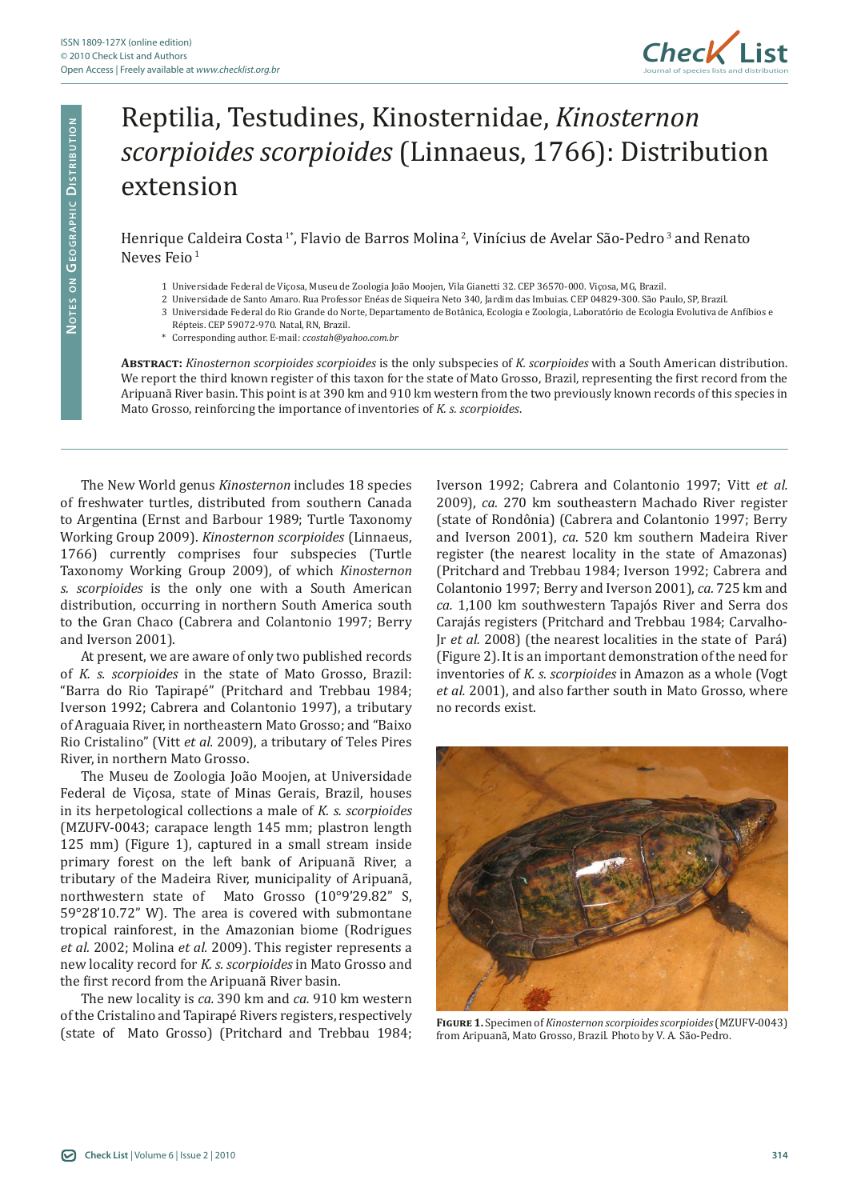

## Reptilia, Testudines, Kinosternidae, *Kinosternon scorpioides scorpioides* (Linnaeus, 1766): Distribution extension

Henrique Caldeira Costa<sup>1\*</sup>, Flavio de Barros Molina<sup>2</sup>, Vinícius de Avelar São-Pedro<sup>3</sup> and Renato Neves Feio<sup>1</sup>

- 1 Universidade Federal de Viçosa, Museu de Zoologia João Moojen, Vila Gianetti 32. CEP 36570-000. Viçosa, MG, Brazil.
- 2 Universidade de Santo Amaro. Rua Professor Enéas de Siqueira Neto 340, Jardim das Imbuias. CEP 04829-300. São Paulo, SP, Brazil.
- 3 Universidade Federal do Rio Grande do Norte, Departamento de Botânica, Ecologia e Zoologia, Laboratório de Ecologia Evolutiva de Anfíbios e
- Répteis. CEP 59072-970. Natal, RN, Brazil. \* Corresponding author. E-mail: *ccostah@yahoo.com.br*

**Abstract:** *Kinosternon scorpioides scorpioides* is the only subspecies of *K. scorpioides* with a South American distribution. We report the third known register of this taxon for the state of Mato Grosso, Brazil, representing the first record from the Aripuanã River basin. This point is at 390 km and 910 km western from the two previously known records of this species in Mato Grosso, reinforcing the importance of inventories of *K. s. scorpioides*.

The New World genus *Kinosternon* includes 18 species of freshwater turtles, distributed from southern Canada to Argentina (Ernst and Barbour 1989; Turtle Taxonomy Working Group 2009). *Kinosternon scorpioides* (Linnaeus, 1766) currently comprises four subspecies (Turtle Taxonomy Working Group 2009), of which *Kinosternon s. scorpioides* is the only one with a South American distribution, occurring in northern South America south to the Gran Chaco (Cabrera and Colantonio 1997; Berry and Iverson 2001).

At present, we are aware of only two published records of *K. s. scorpioides* in the state of Mato Grosso, Brazil: "Barra do Rio Tapirapé" (Pritchard and Trebbau 1984; Iverson 1992; Cabrera and Colantonio 1997), a tributary of Araguaia River, in northeastern Mato Grosso; and "Baixo Rio Cristalino" (Vitt *et al.* 2009), a tributary of Teles Pires River, in northern Mato Grosso.

The Museu de Zoologia João Moojen, at Universidade Federal de Viçosa, state of Minas Gerais, Brazil, houses in its herpetological collections a male of *K. s. scorpioides*  (MZUFV-0043; carapace length 145 mm; plastron length 125 mm) (Figure 1), captured in a small stream inside primary forest on the left bank of Aripuanã River, a tributary of the Madeira River, municipality of Aripuanã, northwestern state of Mato Grosso (10°9'29.82" S, 59°28'10.72" W). The area is covered with submontane tropical rainforest, in the Amazonian biome (Rodrigues *et al.* 2002; Molina *et al.* 2009). This register represents a new locality record for *K. s. scorpioides* in Mato Grosso and the first record from the Aripuanã River basin.

The new locality is *ca.* 390 km and *ca.* 910 km western of the Cristalino and Tapirapé Rivers registers, respectively (state of Mato Grosso) (Pritchard and Trebbau 1984; Iverson 1992; Cabrera and Colantonio 1997; Vitt *et al.* 2009), *ca.* 270 km southeastern Machado River register (state of Rondônia) (Cabrera and Colantonio 1997; Berry and Iverson 2001), *ca*. 520 km southern Madeira River register (the nearest locality in the state of Amazonas) (Pritchard and Trebbau 1984; Iverson 1992; Cabrera and Colantonio 1997; Berry and Iverson 2001), *ca.* 725 km and *ca.* 1,100 km southwestern Tapajós River and Serra dos Carajás registers (Pritchard and Trebbau 1984; Carvalho-Jr *et al.* 2008) (the nearest localities in the state of Pará) (Figure 2). It is an important demonstration of the need for inventories of *K. s. scorpioides* in Amazon as a whole (Vogt *et al.* 2001), and also farther south in Mato Grosso, where no records exist.



**Figure 1.** Specimen of *Kinosternon scorpioides scorpioides* (MZUFV-0043) from Aripuanã, Mato Grosso, Brazil. Photo by V. A. São-Pedro.